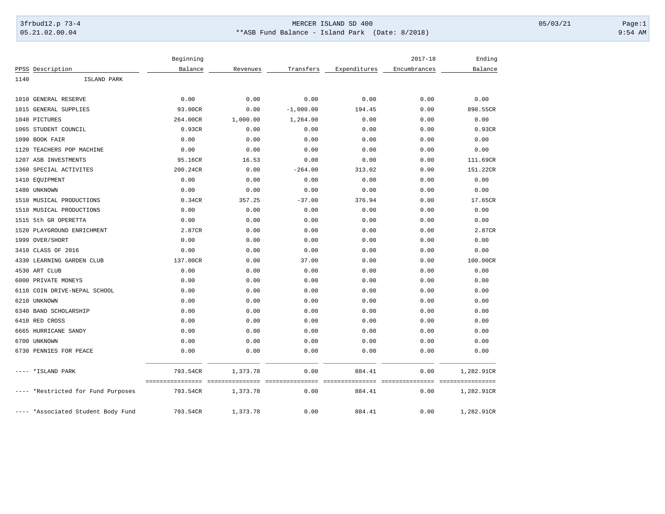## 3frbud12.p 73-4 Page:1 Page:1 05.21.02.00.04 \*\*ASB Fund Balance - Island Park (Date: 8/2018) 9:54 AM

|       |                               | Beginning                    |                             |                         |                           | $2017 - 18$                             | Ending     |
|-------|-------------------------------|------------------------------|-----------------------------|-------------------------|---------------------------|-----------------------------------------|------------|
|       | PPSS Description              | Balance                      | Revenues                    | Transfers               | Expenditures              | Encumbrances                            | Balance    |
| 1140  | ISLAND PARK                   |                              |                             |                         |                           |                                         |            |
|       |                               |                              |                             |                         |                           |                                         |            |
|       | 1010 GENERAL RESERVE          | 0.00                         | 0.00                        | 0.00                    | 0.00                      | 0.00                                    | 0.00       |
|       | 1015 GENERAL SUPPLIES         | 93.00CR                      | 0.00                        | $-1,000.00$             | 194.45                    | 0.00                                    | 898.55CR   |
|       | 1040 PICTURES                 | 264.00CR                     | 1,000.00                    | 1,264.00                | 0.00                      | 0.00                                    | 0.00       |
|       | 1065 STUDENT COUNCIL          | 0.93CR                       | 0.00                        | 0.00                    | 0.00                      | 0.00                                    | 0.93CR     |
|       | 1090 BOOK FAIR                | 0.00                         | 0.00                        | 0.00                    | 0.00                      | 0.00                                    | 0.00       |
| 1120  | TEACHERS POP MACHINE          | 0.00                         | 0.00                        | 0.00                    | 0.00                      | 0.00                                    | 0.00       |
| 1207  | ASB INVESTMENTS               | 95.16CR                      | 16.53                       | 0.00                    | 0.00                      | 0.00                                    | 111.69CR   |
| 1360  | SPECIAL ACTIVITES             | 200.24CR                     | 0.00                        | $-264.00$               | 313.02                    | 0.00                                    | 151.22CR   |
|       | 1410 EOUIPMENT                | 0.00                         | 0.00                        | 0.00                    | 0.00                      | 0.00                                    | 0.00       |
|       | 1480 UNKNOWN                  | 0.00                         | 0.00                        | 0.00                    | 0.00                      | 0.00                                    | 0.00       |
|       | 1510 MUSICAL PRODUCTIONS      | 0.34CR                       | 357.25                      | $-37.00$                | 376.94                    | 0.00                                    | 17.65CR    |
|       | 1510 MUSICAL PRODUCTIONS      | 0.00                         | 0.00                        | 0.00                    | 0.00                      | 0.00                                    | 0.00       |
|       | 1515 5th GR OPERETTA          | 0.00                         | 0.00                        | 0.00                    | 0.00                      | 0.00                                    | 0.00       |
|       | 1520 PLAYGROUND ENRICHMENT    | 2.87CR                       | 0.00                        | 0.00                    | 0.00                      | 0.00                                    | 2.87CR     |
|       | 1999 OVER/SHORT               | 0.00                         | 0.00                        | 0.00                    | 0.00                      | 0.00                                    | 0.00       |
|       | 3410 CLASS OF 2016            | 0.00                         | 0.00                        | 0.00                    | 0.00                      | 0.00                                    | 0.00       |
| 4330  | LEARNING GARDEN CLUB          | 137.00CR                     | 0.00                        | 37.00                   | 0.00                      | 0.00                                    | 100.00CR   |
|       | 4530 ART CLUB                 | 0.00                         | 0.00                        | 0.00                    | 0.00                      | 0.00                                    | 0.00       |
|       | 6000 PRIVATE MONEYS           | 0.00                         | 0.00                        | 0.00                    | 0.00                      | 0.00                                    | 0.00       |
| 6110  | COIN DRIVE-NEPAL SCHOOL       | 0.00                         | 0.00                        | 0.00                    | 0.00                      | 0.00                                    | 0.00       |
| 6210  | UNKNOWN                       | 0.00                         | 0.00                        | 0.00                    | 0.00                      | 0.00                                    | 0.00       |
|       | 6340 BAND SCHOLARSHIP         | 0.00                         | 0.00                        | 0.00                    | 0.00                      | 0.00                                    | 0.00       |
|       | 6410 RED CROSS                | 0.00                         | 0.00                        | 0.00                    | 0.00                      | 0.00                                    | 0.00       |
|       | 6665 HURRICANE SANDY          | 0.00                         | 0.00                        | 0.00                    | 0.00                      | 0.00                                    | 0.00       |
|       | 6700 UNKNOWN                  | 0.00                         | 0.00                        | 0.00                    | 0.00                      | 0.00                                    | 0.00       |
|       | 6730 PENNIES FOR PEACE        | 0.00                         | 0.00                        | 0.00                    | 0.00                      | 0.00                                    | 0.00       |
| $---$ | *ISLAND PARK                  | 793.54CR<br>================ | 1,373.78<br>=============== | 0.00<br>--------------- | 884.41<br>=============== | 0.00<br>--------------- --------------- | 1,282.91CR |
|       | *Restricted for Fund Purposes | 793.54CR                     | 1,373.78                    | 0.00                    | 884.41                    | 0.00                                    | 1,282.91CR |
| $---$ | *Associated Student Body Fund | 793.54CR                     | 1,373.78                    | 0.00                    | 884.41                    | 0.00                                    | 1,282.91CR |